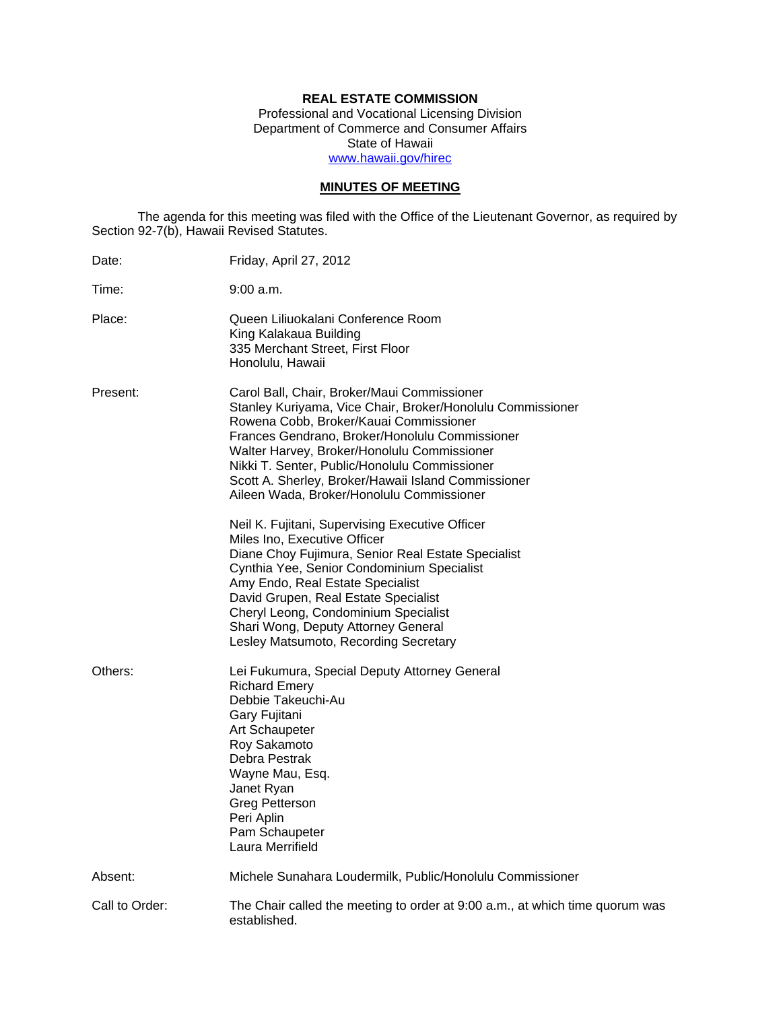## **REAL ESTATE COMMISSION**

Professional and Vocational Licensing Division Department of Commerce and Consumer Affairs State of Hawaii www.hawaii.gov/hirec

## **MINUTES OF MEETING**

The agenda for this meeting was filed with the Office of the Lieutenant Governor, as required by Section 92-7(b), Hawaii Revised Statutes.

| Date:          | Friday, April 27, 2012                                                                                                                                                                                                                                                                                                                                                                                    |
|----------------|-----------------------------------------------------------------------------------------------------------------------------------------------------------------------------------------------------------------------------------------------------------------------------------------------------------------------------------------------------------------------------------------------------------|
| Time:          | 9:00 a.m.                                                                                                                                                                                                                                                                                                                                                                                                 |
| Place:         | Queen Liliuokalani Conference Room<br>King Kalakaua Building<br>335 Merchant Street, First Floor<br>Honolulu, Hawaii                                                                                                                                                                                                                                                                                      |
| Present:       | Carol Ball, Chair, Broker/Maui Commissioner<br>Stanley Kuriyama, Vice Chair, Broker/Honolulu Commissioner<br>Rowena Cobb, Broker/Kauai Commissioner<br>Frances Gendrano, Broker/Honolulu Commissioner<br>Walter Harvey, Broker/Honolulu Commissioner<br>Nikki T. Senter, Public/Honolulu Commissioner<br>Scott A. Sherley, Broker/Hawaii Island Commissioner<br>Aileen Wada, Broker/Honolulu Commissioner |
|                | Neil K. Fujitani, Supervising Executive Officer<br>Miles Ino, Executive Officer<br>Diane Choy Fujimura, Senior Real Estate Specialist<br>Cynthia Yee, Senior Condominium Specialist<br>Amy Endo, Real Estate Specialist<br>David Grupen, Real Estate Specialist<br>Cheryl Leong, Condominium Specialist<br>Shari Wong, Deputy Attorney General<br>Lesley Matsumoto, Recording Secretary                   |
| Others:        | Lei Fukumura, Special Deputy Attorney General<br><b>Richard Emery</b><br>Debbie Takeuchi-Au<br>Gary Fujitani<br>Art Schaupeter<br>Roy Sakamoto<br>Debra Pestrak<br>Wayne Mau, Esq.<br>Janet Ryan<br><b>Greg Petterson</b><br>Peri Aplin<br>Pam Schaupeter<br>Laura Merrifield                                                                                                                             |
| Absent:        | Michele Sunahara Loudermilk, Public/Honolulu Commissioner                                                                                                                                                                                                                                                                                                                                                 |
| Call to Order: | The Chair called the meeting to order at 9:00 a.m., at which time quorum was<br>established.                                                                                                                                                                                                                                                                                                              |
|                |                                                                                                                                                                                                                                                                                                                                                                                                           |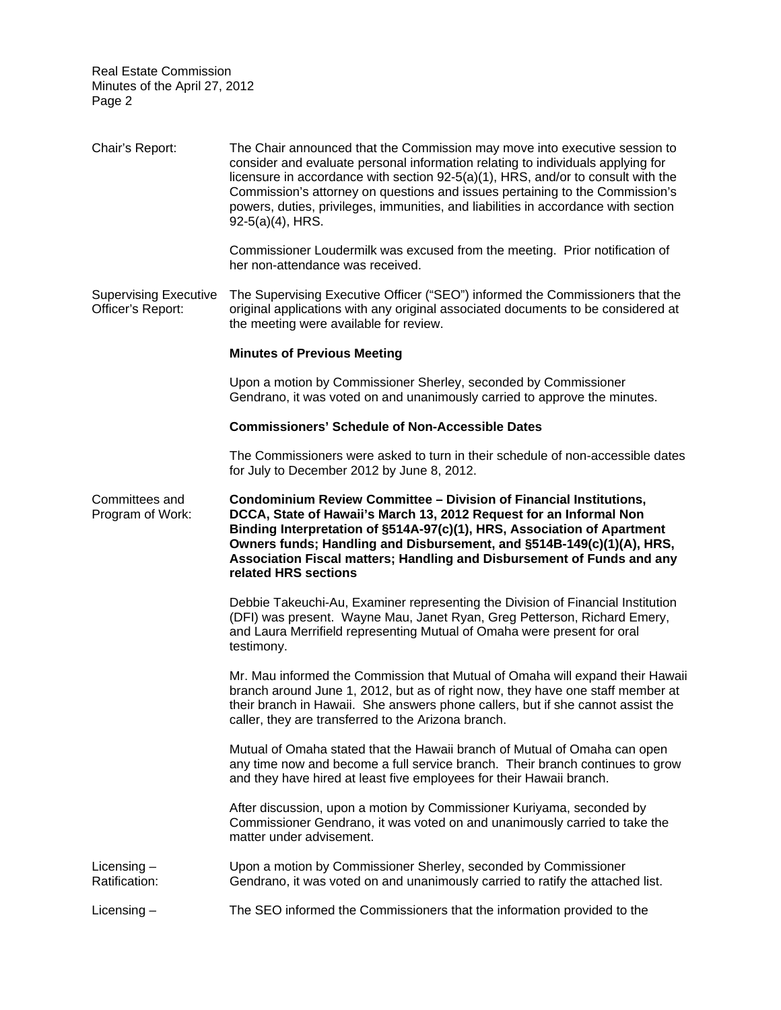| Chair's Report:                                   | The Chair announced that the Commission may move into executive session to<br>consider and evaluate personal information relating to individuals applying for<br>licensure in accordance with section 92-5(a)(1), HRS, and/or to consult with the<br>Commission's attorney on questions and issues pertaining to the Commission's<br>powers, duties, privileges, immunities, and liabilities in accordance with section<br>92-5(a)(4), HRS. |
|---------------------------------------------------|---------------------------------------------------------------------------------------------------------------------------------------------------------------------------------------------------------------------------------------------------------------------------------------------------------------------------------------------------------------------------------------------------------------------------------------------|
|                                                   | Commissioner Loudermilk was excused from the meeting. Prior notification of<br>her non-attendance was received.                                                                                                                                                                                                                                                                                                                             |
| <b>Supervising Executive</b><br>Officer's Report: | The Supervising Executive Officer ("SEO") informed the Commissioners that the<br>original applications with any original associated documents to be considered at<br>the meeting were available for review.                                                                                                                                                                                                                                 |
|                                                   | <b>Minutes of Previous Meeting</b>                                                                                                                                                                                                                                                                                                                                                                                                          |
|                                                   | Upon a motion by Commissioner Sherley, seconded by Commissioner<br>Gendrano, it was voted on and unanimously carried to approve the minutes.                                                                                                                                                                                                                                                                                                |
|                                                   | <b>Commissioners' Schedule of Non-Accessible Dates</b>                                                                                                                                                                                                                                                                                                                                                                                      |
|                                                   | The Commissioners were asked to turn in their schedule of non-accessible dates<br>for July to December 2012 by June 8, 2012.                                                                                                                                                                                                                                                                                                                |
| Committees and<br>Program of Work:                | Condominium Review Committee - Division of Financial Institutions,<br>DCCA, State of Hawaii's March 13, 2012 Request for an Informal Non<br>Binding Interpretation of §514A-97(c)(1), HRS, Association of Apartment<br>Owners funds; Handling and Disbursement, and §514B-149(c)(1)(A), HRS,<br>Association Fiscal matters; Handling and Disbursement of Funds and any<br>related HRS sections                                              |
|                                                   | Debbie Takeuchi-Au, Examiner representing the Division of Financial Institution<br>(DFI) was present. Wayne Mau, Janet Ryan, Greg Petterson, Richard Emery,<br>and Laura Merrifield representing Mutual of Omaha were present for oral<br>testimony.                                                                                                                                                                                        |
|                                                   | Mr. Mau informed the Commission that Mutual of Omaha will expand their Hawaii<br>branch around June 1, 2012, but as of right now, they have one staff member at<br>their branch in Hawaii. She answers phone callers, but if she cannot assist the<br>caller, they are transferred to the Arizona branch.                                                                                                                                   |
|                                                   | Mutual of Omaha stated that the Hawaii branch of Mutual of Omaha can open<br>any time now and become a full service branch. Their branch continues to grow<br>and they have hired at least five employees for their Hawaii branch.                                                                                                                                                                                                          |
|                                                   | After discussion, upon a motion by Commissioner Kuriyama, seconded by<br>Commissioner Gendrano, it was voted on and unanimously carried to take the<br>matter under advisement.                                                                                                                                                                                                                                                             |
| Licensing $-$<br>Ratification:                    | Upon a motion by Commissioner Sherley, seconded by Commissioner<br>Gendrano, it was voted on and unanimously carried to ratify the attached list.                                                                                                                                                                                                                                                                                           |
| Licensing $-$                                     | The SEO informed the Commissioners that the information provided to the                                                                                                                                                                                                                                                                                                                                                                     |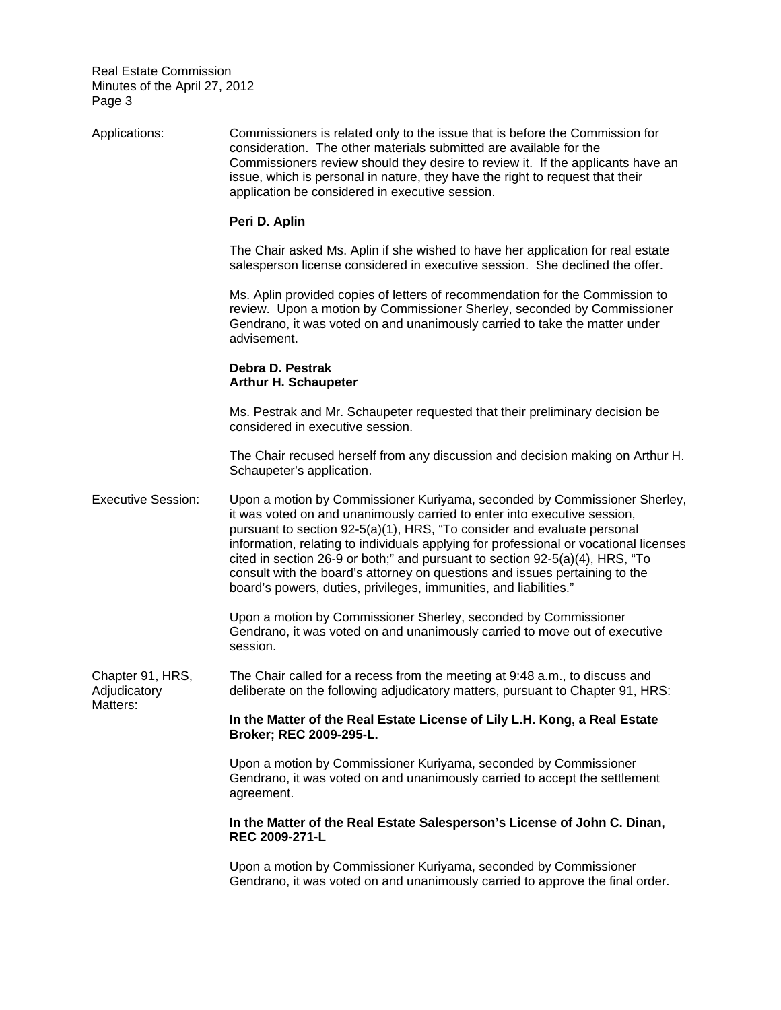Adjudicatory Applications: Commissioners is related only to the issue that is before the Commission for consideration. The other materials submitted are available for the Commissioners review should they desire to review it. If the applicants have an issue, which is personal in nature, they have the right to request that their application be considered in executive session. **Peri D. Aplin**  The Chair asked Ms. Aplin if she wished to have her application for real estate salesperson license considered in executive session. She declined the offer. Ms. Aplin provided copies of letters of recommendation for the Commission to review. Upon a motion by Commissioner Sherley, seconded by Commissioner Gendrano, it was voted on and unanimously carried to take the matter under advisement. **Debra D. Pestrak Arthur H. Schaupeter**  Ms. Pestrak and Mr. Schaupeter requested that their preliminary decision be considered in executive session. The Chair recused herself from any discussion and decision making on Arthur H. Schaupeter's application. Executive Session: Upon a motion by Commissioner Kuriyama, seconded by Commissioner Sherley, it was voted on and unanimously carried to enter into executive session, pursuant to section 92-5(a)(1), HRS, "To consider and evaluate personal information, relating to individuals applying for professional or vocational licenses cited in section 26-9 or both;" and pursuant to section 92-5(a)(4), HRS, "To consult with the board's attorney on questions and issues pertaining to the board's powers, duties, privileges, immunities, and liabilities." Upon a motion by Commissioner Sherley, seconded by Commissioner Gendrano, it was voted on and unanimously carried to move out of executive session. Chapter 91, HRS, The Chair called for a recess from the meeting at 9:48 a.m., to discuss and deliberate on the following adjudicatory matters, pursuant to Chapter 91, HRS: Matters: **In the Matter of the Real Estate License of Lily L.H. Kong, a Real Estate Broker; REC 2009-295-L.**  Upon a motion by Commissioner Kuriyama, seconded by Commissioner Gendrano, it was voted on and unanimously carried to accept the settlement agreement. **In the Matter of the Real Estate Salesperson's License of John C. Dinan, REC 2009-271-L**  Upon a motion by Commissioner Kuriyama, seconded by Commissioner Gendrano, it was voted on and unanimously carried to approve the final order.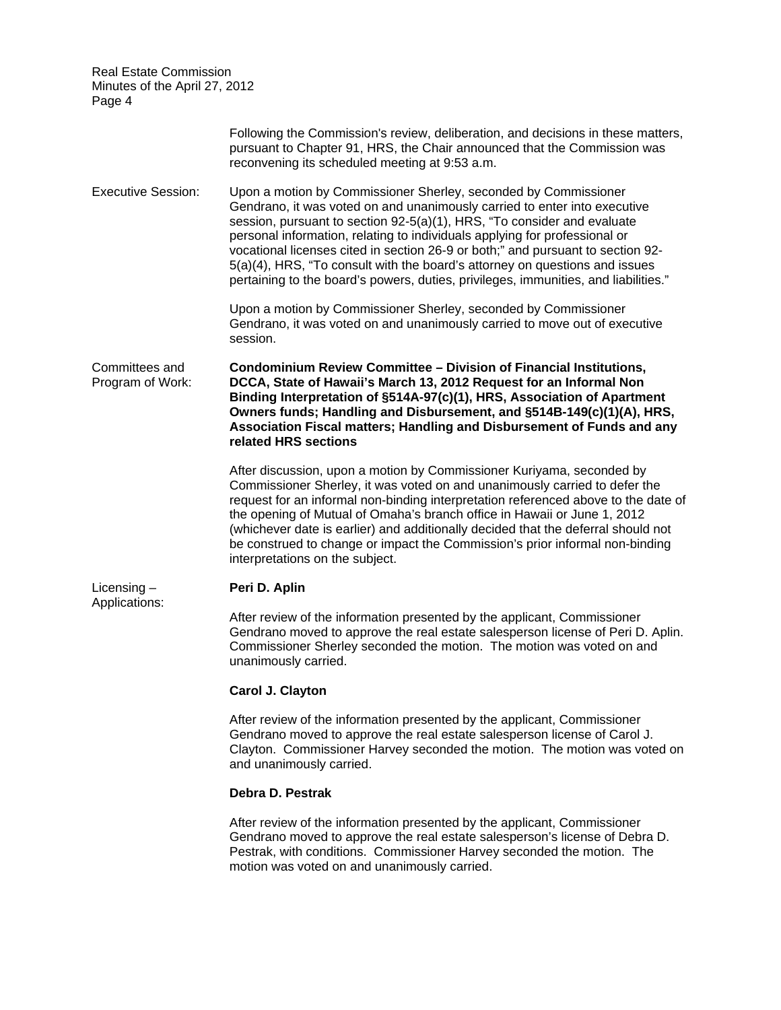| <b>Real Estate Commission</b><br>Minutes of the April 27, 2012<br>Page 4 |                                                                                                                                                                                                                                                                                                                                                                                                                                                                                                                                                                |
|--------------------------------------------------------------------------|----------------------------------------------------------------------------------------------------------------------------------------------------------------------------------------------------------------------------------------------------------------------------------------------------------------------------------------------------------------------------------------------------------------------------------------------------------------------------------------------------------------------------------------------------------------|
|                                                                          | Following the Commission's review, deliberation, and decisions in these matters,<br>pursuant to Chapter 91, HRS, the Chair announced that the Commission was<br>reconvening its scheduled meeting at 9:53 a.m.                                                                                                                                                                                                                                                                                                                                                 |
| <b>Executive Session:</b>                                                | Upon a motion by Commissioner Sherley, seconded by Commissioner<br>Gendrano, it was voted on and unanimously carried to enter into executive<br>session, pursuant to section 92-5(a)(1), HRS, "To consider and evaluate<br>personal information, relating to individuals applying for professional or<br>vocational licenses cited in section 26-9 or both;" and pursuant to section 92-<br>5(a)(4), HRS, "To consult with the board's attorney on questions and issues<br>pertaining to the board's powers, duties, privileges, immunities, and liabilities." |
|                                                                          | Upon a motion by Commissioner Sherley, seconded by Commissioner<br>Gendrano, it was voted on and unanimously carried to move out of executive<br>session.                                                                                                                                                                                                                                                                                                                                                                                                      |
| Committees and<br>Program of Work:                                       | Condominium Review Committee - Division of Financial Institutions,<br>DCCA, State of Hawaii's March 13, 2012 Request for an Informal Non<br>Binding Interpretation of §514A-97(c)(1), HRS, Association of Apartment<br>Owners funds; Handling and Disbursement, and §514B-149(c)(1)(A), HRS,<br>Association Fiscal matters; Handling and Disbursement of Funds and any<br>related HRS sections                                                                                                                                                                 |
|                                                                          | After discussion, upon a motion by Commissioner Kuriyama, seconded by<br>Commissioner Sherley, it was voted on and unanimously carried to defer the<br>request for an informal non-binding interpretation referenced above to the date of<br>the opening of Mutual of Omaha's branch office in Hawaii or June 1, 2012<br>(whichever date is earlier) and additionally decided that the deferral should not<br>be construed to change or impact the Commission's prior informal non-binding<br>interpretations on the subject.                                  |
| Licensing $-$<br>Applications:                                           | Peri D. Aplin                                                                                                                                                                                                                                                                                                                                                                                                                                                                                                                                                  |
|                                                                          | After review of the information presented by the applicant, Commissioner<br>Gendrano moved to approve the real estate salesperson license of Peri D. Aplin.<br>Commissioner Sherley seconded the motion. The motion was voted on and<br>unanimously carried.                                                                                                                                                                                                                                                                                                   |
|                                                                          | Carol J. Clayton                                                                                                                                                                                                                                                                                                                                                                                                                                                                                                                                               |
|                                                                          | After review of the information presented by the applicant, Commissioner<br>Gendrano moved to approve the real estate salesperson license of Carol J.<br>Clayton. Commissioner Harvey seconded the motion. The motion was voted on<br>and unanimously carried.                                                                                                                                                                                                                                                                                                 |
|                                                                          | Debra D. Pestrak                                                                                                                                                                                                                                                                                                                                                                                                                                                                                                                                               |
|                                                                          | After review of the information presented by the applicant, Commissioner<br>Gendrano moved to approve the real estate salesperson's license of Debra D.<br>Pestrak, with conditions. Commissioner Harvey seconded the motion. The<br>motion was voted on and unanimously carried.                                                                                                                                                                                                                                                                              |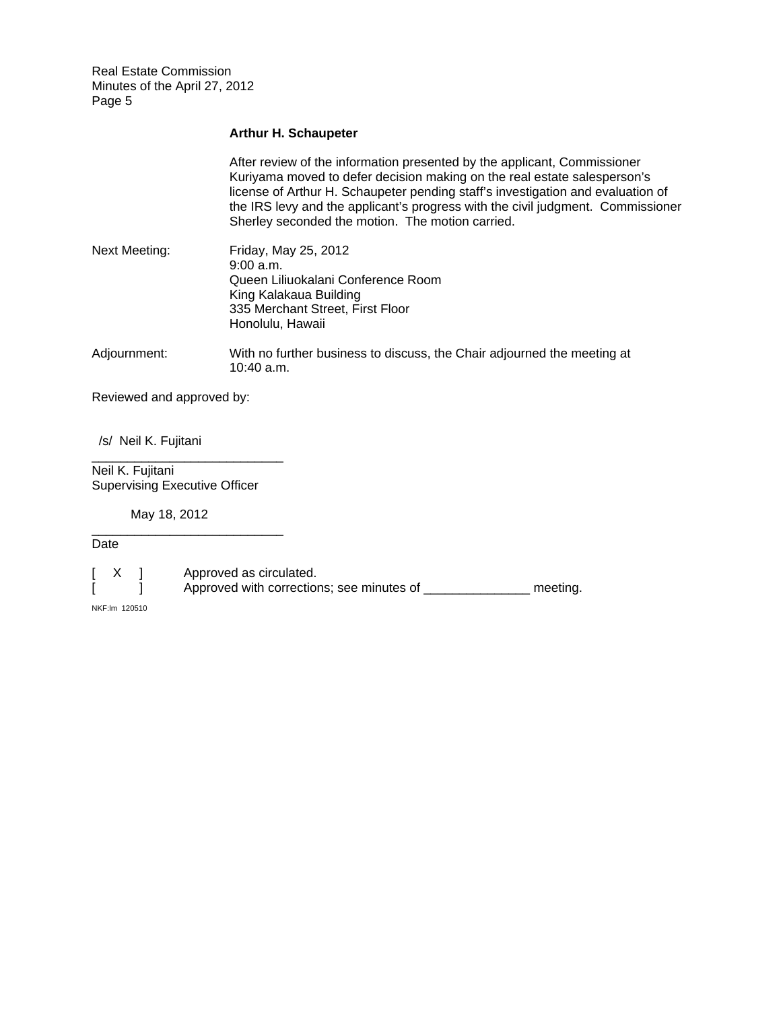## **Arthur H. Schaupeter**

|                           | After review of the information presented by the applicant, Commissioner<br>Kuriyama moved to defer decision making on the real estate salesperson's<br>license of Arthur H. Schaupeter pending staff's investigation and evaluation of<br>the IRS levy and the applicant's progress with the civil judgment. Commissioner<br>Sherley seconded the motion. The motion carried. |  |
|---------------------------|--------------------------------------------------------------------------------------------------------------------------------------------------------------------------------------------------------------------------------------------------------------------------------------------------------------------------------------------------------------------------------|--|
| <b>Next Meeting:</b>      | Friday, May 25, 2012<br>9:00a.m.<br>Queen Liliuokalani Conference Room<br>King Kalakaua Building<br>335 Merchant Street, First Floor<br>Honolulu, Hawaii                                                                                                                                                                                                                       |  |
| Adjournment:              | With no further business to discuss, the Chair adjourned the meeting at<br>10:40 a.m.                                                                                                                                                                                                                                                                                          |  |
| Reviewed and approved by: |                                                                                                                                                                                                                                                                                                                                                                                |  |

/s/ Neil K. Fujitani

Neil K. Fujitani Supervising Executive Officer

\_\_\_\_\_\_\_\_\_\_\_\_\_\_\_\_\_\_\_\_\_\_\_\_\_\_\_

\_\_\_\_\_\_\_\_\_\_\_\_\_\_\_\_\_\_\_\_\_\_\_\_\_\_\_

May 18, 2012

Date

[ X ] Approved as circulated.<br>[ ] Approved with correction  $j$  Approved with corrections; see minutes of \_\_\_\_\_\_\_\_\_\_\_\_\_\_\_\_ meeting.

NKF:lm 120510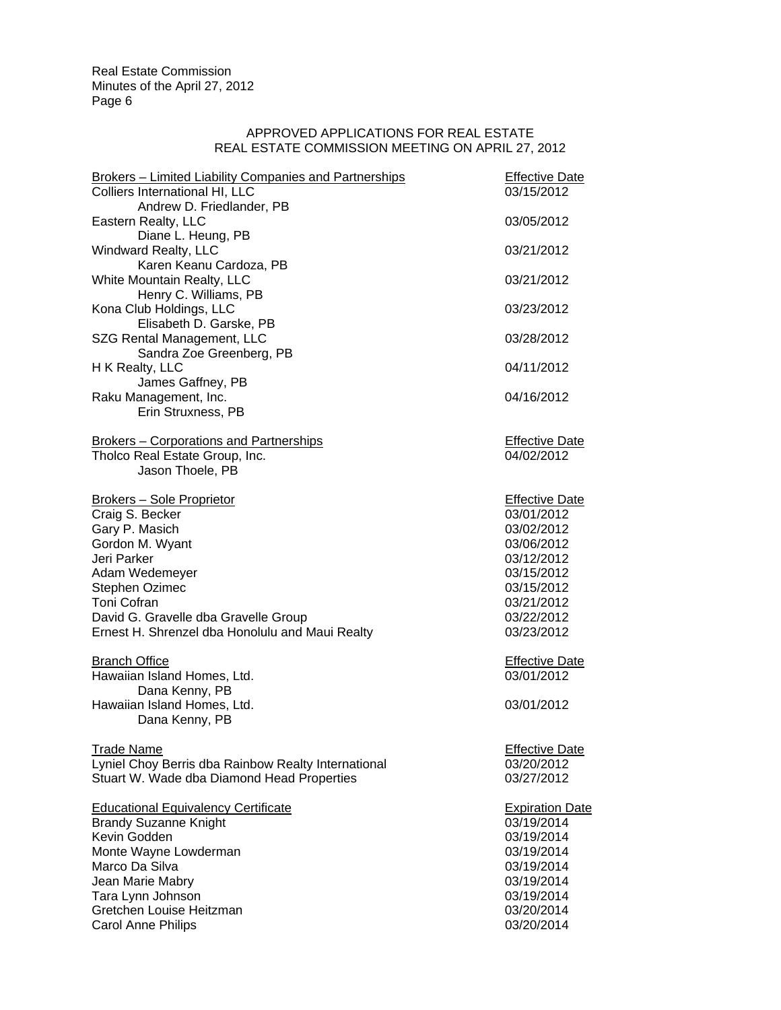## APPROVED APPLICATIONS FOR REAL ESTATE REAL ESTATE COMMISSION MEETING ON APRIL 27, 2012

| <b>Brokers - Limited Liability Companies and Partnerships</b> | <b>Effective Date</b>               |
|---------------------------------------------------------------|-------------------------------------|
| Colliers International HI, LLC                                | 03/15/2012                          |
| Andrew D. Friedlander, PB                                     |                                     |
| Eastern Realty, LLC<br>Diane L. Heung, PB                     | 03/05/2012                          |
| <b>Windward Realty, LLC</b>                                   | 03/21/2012                          |
| Karen Keanu Cardoza, PB                                       |                                     |
| White Mountain Realty, LLC                                    | 03/21/2012                          |
| Henry C. Williams, PB                                         |                                     |
| Kona Club Holdings, LLC                                       | 03/23/2012                          |
| Elisabeth D. Garske, PB                                       |                                     |
| SZG Rental Management, LLC                                    | 03/28/2012                          |
| Sandra Zoe Greenberg, PB                                      |                                     |
| H K Realty, LLC<br>James Gaffney, PB                          | 04/11/2012                          |
| Raku Management, Inc.                                         | 04/16/2012                          |
| Erin Struxness, PB                                            |                                     |
|                                                               |                                     |
| <b>Brokers - Corporations and Partnerships</b>                | <b>Effective Date</b>               |
| Tholco Real Estate Group, Inc.                                | 04/02/2012                          |
| Jason Thoele, PB                                              |                                     |
|                                                               |                                     |
| <b>Brokers - Sole Proprietor</b><br>Craig S. Becker           | <b>Effective Date</b><br>03/01/2012 |
| Gary P. Masich                                                | 03/02/2012                          |
| Gordon M. Wyant                                               | 03/06/2012                          |
| Jeri Parker                                                   | 03/12/2012                          |
| Adam Wedemeyer                                                | 03/15/2012                          |
| Stephen Ozimec                                                | 03/15/2012                          |
| Toni Cofran                                                   | 03/21/2012                          |
| David G. Gravelle dba Gravelle Group                          | 03/22/2012                          |
| Ernest H. Shrenzel dba Honolulu and Maui Realty               | 03/23/2012                          |
| <b>Branch Office</b>                                          | <b>Effective Date</b>               |
| Hawaiian Island Homes, Ltd.                                   | 03/01/2012                          |
| Dana Kenny, PB                                                |                                     |
| Hawaiian Island Homes, Ltd.                                   | 03/01/2012                          |
| Dana Kenny, PB                                                |                                     |
|                                                               |                                     |
| <b>Trade Name</b>                                             | <b>Effective Date</b>               |
| Lyniel Choy Berris dba Rainbow Realty International           | 03/20/2012                          |
| Stuart W. Wade dba Diamond Head Properties                    | 03/27/2012                          |
| <b>Educational Equivalency Certificate</b>                    | <b>Expiration Date</b>              |
| <b>Brandy Suzanne Knight</b>                                  | 03/19/2014                          |
| Kevin Godden                                                  | 03/19/2014                          |
| Monte Wayne Lowderman                                         | 03/19/2014                          |
| Marco Da Silva                                                | 03/19/2014                          |
| Jean Marie Mabry                                              | 03/19/2014                          |
| Tara Lynn Johnson                                             | 03/19/2014                          |
| Gretchen Louise Heitzman                                      | 03/20/2014                          |
| <b>Carol Anne Philips</b>                                     | 03/20/2014                          |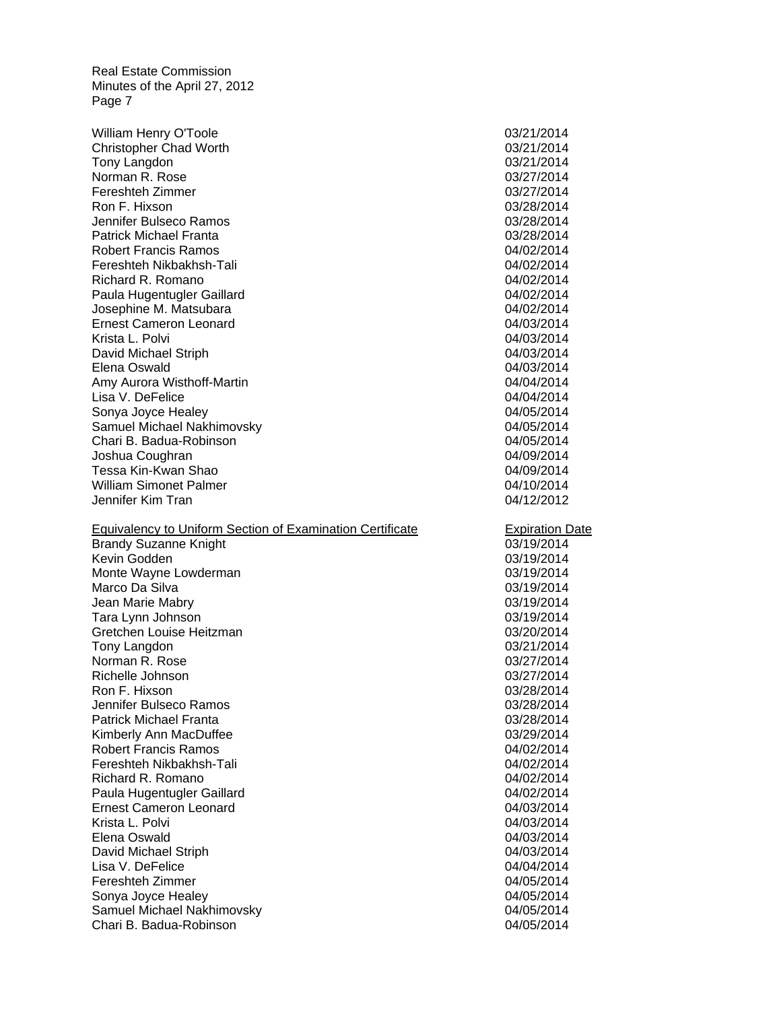Josephine M. Matsubara 04/02/2014 Joshua Coughran 04/09/2014 Equivalency to Uniform Section of Examination Certificate **Expiration Date**  Jean Marie Mabry 03/19/2014 Tara Lynn Johnson 03/19/2014 Kimberly Ann MacDuffee 03/29/2014 William Henry O'Toole 2008 2012 2014 Christopher Chad Worth **03/21/2014** 03/21/2014 Tony Langdon 03/21/2014 Norman R. Rose 03/27/2014 Fereshteh Zimmer 03/27/2014 Ron F. Hixson 03/28/2014 Jennifer Bulseco Ramos 03/28/2014 Patrick Michael Franta 03/28/2014 Robert Francis Ramos 04/02/2014 Fereshteh Nikbakhsh-Tali 04/02/2014 Richard R. Romano **04/02/2014** Paula Hugentugler Gaillard **Development Controller Controller** Controller Controller Controller Controller Controller Ernest Cameron Leonard 04/03/2014 Krista L. Polvi 04/03/2014 David Michael Striph 04/03/2014 Elena Oswald 04/03/2014 Amy Aurora Wisthoff-Martin 04/04/2014 Lisa V. DeFelice 04/04/2014 Sonya Joyce Healey **04/05/2014** Samuel Michael Nakhimovsky 04/05/2014 Chari B. Badua-Robinson 04/05/2014 Tessa Kin-Kwan Shao 04/09/2014 William Simonet Palmer **Calment Controller Controller Controller** Controller Controller Controller Controller Controller Controller Controller Controller Controller Controller Controller Controller Controller Controller Co Jennifer Kim Tran 04/12/2012 Brandy Suzanne Knight 03/19/2014 **Communist Communist Communist Communist Communist Communist Communist Communist Communist Communist Communist Communist Communist Communist Communist Communist Communist Communist Communis** Kevin Godden 03/19/2014 Monte Wayne Lowderman 03/19/2014 Marco Da Silva 03/19/2014 Gretchen Louise Heitzman **63/20/2014 63/20/2014** Tony Langdon 03/21/2014 Norman R. Rose 03/27/2014 Richelle Johnson 03/27/2014 Ron F. Hixson 03/28/2014 Jennifer Bulseco Ramos 03/28/2014 Patrick Michael Franta 03/28/2014 Robert Francis Ramos 04/02/2014 Fereshteh Nikbakhsh-Tali 04/02/2014 Richard R. Romano **04/02/2014** Paula Hugentugler Gaillard **Development Controller Controller** Controller Controller Controller Controller Controller Ernest Cameron Leonard 04/03/2014 Krista L. Polvi 04/03/2014 Elena Oswald 04/03/2014 David Michael Striph 04/03/2014 Lisa V. DeFelice 04/04/2014 Fereshteh Zimmer 04/05/2014 Sonya Joyce Healey **04/05/2014** Samuel Michael Nakhimovsky **04/05/2014** 04/05/2014 Chari B. Badua-Robinson 04/05/2014

03/19/2014